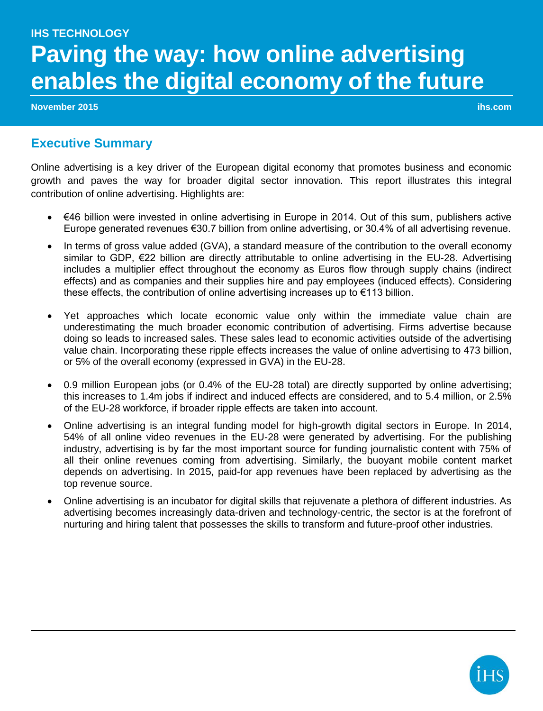# **IHS TECHNOLOGY Paving the way: how online advertising enables the digital economy of the future**

**November 2015 ihs.com**

### **Executive Summary**

Online advertising is a key driver of the European digital economy that promotes business and economic growth and paves the way for broader digital sector innovation. This report illustrates this integral contribution of online advertising. Highlights are:

- €46 billion were invested in online advertising in Europe in 2014. Out of this sum, publishers active Europe generated revenues €30.7 billion from online advertising, or 30.4% of all advertising revenue.
- In terms of gross value added (GVA), a standard measure of the contribution to the overall economy similar to GDP, €22 billion are directly attributable to online advertising in the EU-28. Advertising includes a multiplier effect throughout the economy as Euros flow through supply chains (indirect effects) and as companies and their supplies hire and pay employees (induced effects). Considering these effects, the contribution of online advertising increases up to €113 billion.
- Yet approaches which locate economic value only within the immediate value chain are underestimating the much broader economic contribution of advertising. Firms advertise because doing so leads to increased sales. These sales lead to economic activities outside of the advertising value chain. Incorporating these ripple effects increases the value of online advertising to 473 billion, or 5% of the overall economy (expressed in GVA) in the EU-28.
- 0.9 million European jobs (or 0.4% of the EU-28 total) are directly supported by online advertising; this increases to 1.4m jobs if indirect and induced effects are considered, and to 5.4 million, or 2.5% of the EU-28 workforce, if broader ripple effects are taken into account.
- Online advertising is an integral funding model for high-growth digital sectors in Europe. In 2014, 54% of all online video revenues in the EU-28 were generated by advertising. For the publishing industry, advertising is by far the most important source for funding journalistic content with 75% of all their online revenues coming from advertising. Similarly, the buoyant mobile content market depends on advertising. In 2015, paid-for app revenues have been replaced by advertising as the top revenue source.
- Online advertising is an incubator for digital skills that rejuvenate a plethora of different industries. As advertising becomes increasingly data-driven and technology-centric, the sector is at the forefront of nurturing and hiring talent that possesses the skills to transform and future-proof other industries.

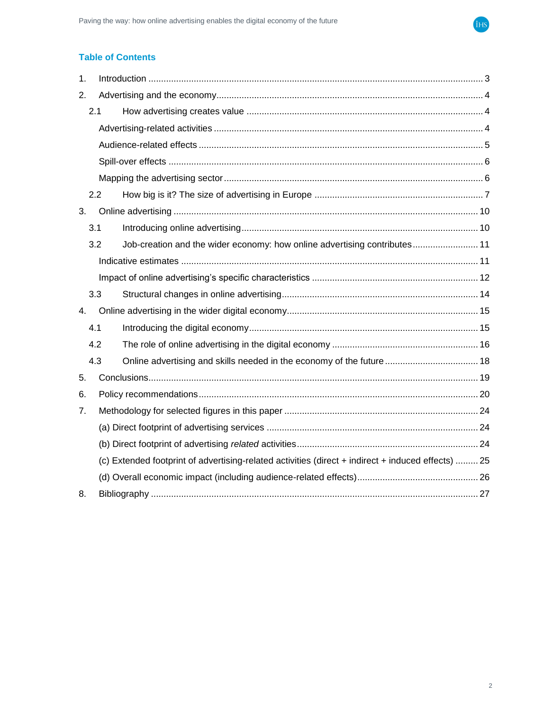

### **Table of Contents**

| 1. |                                                                                                    |  |  |  |  |
|----|----------------------------------------------------------------------------------------------------|--|--|--|--|
| 2. |                                                                                                    |  |  |  |  |
|    | 2.1                                                                                                |  |  |  |  |
|    |                                                                                                    |  |  |  |  |
|    |                                                                                                    |  |  |  |  |
|    |                                                                                                    |  |  |  |  |
|    |                                                                                                    |  |  |  |  |
|    | 2.2                                                                                                |  |  |  |  |
| 3. |                                                                                                    |  |  |  |  |
|    | 3.1                                                                                                |  |  |  |  |
|    | Job-creation and the wider economy: how online advertising contributes 11<br>3.2                   |  |  |  |  |
|    |                                                                                                    |  |  |  |  |
|    |                                                                                                    |  |  |  |  |
|    | 3.3                                                                                                |  |  |  |  |
| 4. |                                                                                                    |  |  |  |  |
|    | 4.1                                                                                                |  |  |  |  |
|    | 4.2                                                                                                |  |  |  |  |
|    | 4.3                                                                                                |  |  |  |  |
| 5. |                                                                                                    |  |  |  |  |
| 6. |                                                                                                    |  |  |  |  |
| 7. |                                                                                                    |  |  |  |  |
|    |                                                                                                    |  |  |  |  |
|    |                                                                                                    |  |  |  |  |
|    | (c) Extended footprint of advertising-related activities (direct + indirect + induced effects)  25 |  |  |  |  |
|    |                                                                                                    |  |  |  |  |
| 8. |                                                                                                    |  |  |  |  |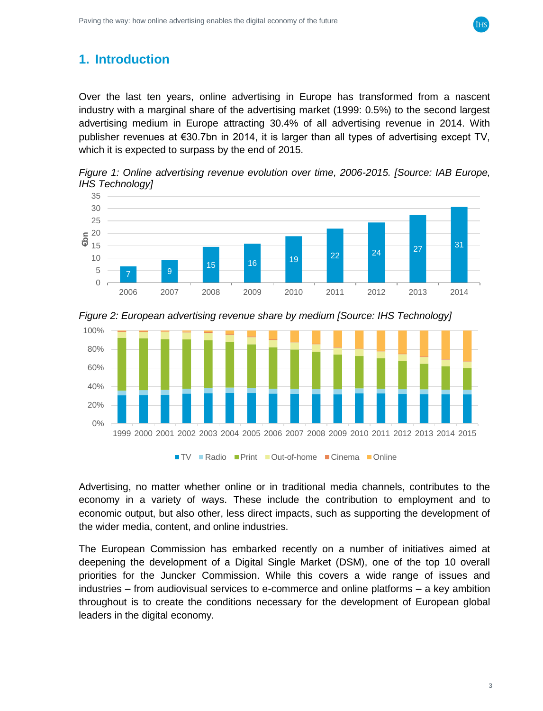# <span id="page-2-0"></span>**1. Introduction**

Over the last ten years, online advertising in Europe has transformed from a nascent industry with a marginal share of the advertising market (1999: 0.5%) to the second largest advertising medium in Europe attracting 30.4% of all advertising revenue in 2014. With publisher revenues at €30.7bn in 2014, it is larger than all types of advertising except TV, which it is expected to surpass by the end of 2015.

*Figure 1: Online advertising revenue evolution over time, 2006-2015. [Source: IAB Europe, IHS Technology]*





*Figure 2: European advertising revenue share by medium [Source: IHS Technology]*

Advertising, no matter whether online or in traditional media channels, contributes to the economy in a variety of ways. These include the contribution to employment and to economic output, but also other, less direct impacts, such as supporting the development of the wider media, content, and online industries.

The European Commission has embarked recently on a number of initiatives aimed at deepening the development of a Digital Single Market (DSM), one of the top 10 overall priorities for the Juncker Commission. While this covers a wide range of issues and industries – from audiovisual services to e-commerce and online platforms – a key ambition throughout is to create the conditions necessary for the development of European global leaders in the digital economy.

3

iнs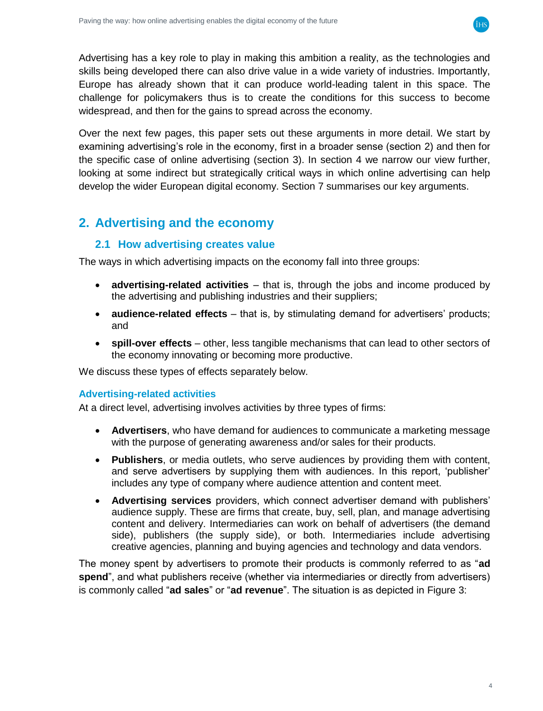

Advertising has a key role to play in making this ambition a reality, as the technologies and skills being developed there can also drive value in a wide variety of industries. Importantly, Europe has already shown that it can produce world-leading talent in this space. The challenge for policymakers thus is to create the conditions for this success to become widespread, and then for the gains to spread across the economy.

Over the next few pages, this paper sets out these arguments in more detail. We start by examining advertising's role in the economy, first in a broader sense (section [2\)](#page-3-0) and then for the specific case of online advertising (section [3\)](#page-9-0). In section [4](#page-14-0) we narrow our view further, looking at some indirect but strategically critical ways in which online advertising can help develop the wider European digital economy. Section [7](#page-23-0) summarises our key arguments.

# <span id="page-3-1"></span><span id="page-3-0"></span>**2. Advertising and the economy**

### **2.1 How advertising creates value**

The ways in which advertising impacts on the economy fall into three groups:

- **advertising-related activities**  that is, through the jobs and income produced by the advertising and publishing industries and their suppliers;
- **audience-related effects** that is, by stimulating demand for advertisers' products; and
- **spill-over effects** other, less tangible mechanisms that can lead to other sectors of the economy innovating or becoming more productive.

We discuss these types of effects separately below.

#### <span id="page-3-2"></span>**Advertising-related activities**

At a direct level, advertising involves activities by three types of firms:

- **Advertisers**, who have demand for audiences to communicate a marketing message with the purpose of generating awareness and/or sales for their products.
- **Publishers**, or media outlets, who serve audiences by providing them with content, and serve advertisers by supplying them with audiences. In this report, 'publisher' includes any type of company where audience attention and content meet.
- **Advertising services** providers, which connect advertiser demand with publishers' audience supply. These are firms that create, buy, sell, plan, and manage advertising content and delivery. Intermediaries can work on behalf of advertisers (the demand side), publishers (the supply side), or both. Intermediaries include advertising creative agencies, planning and buying agencies and technology and data vendors.

The money spent by advertisers to promote their products is commonly referred to as "**ad spend**", and what publishers receive (whether via intermediaries or directly from advertisers) is commonly called "**ad sales**" or "**ad revenue**". The situation is as depicted in [Figure 3:](#page-4-1)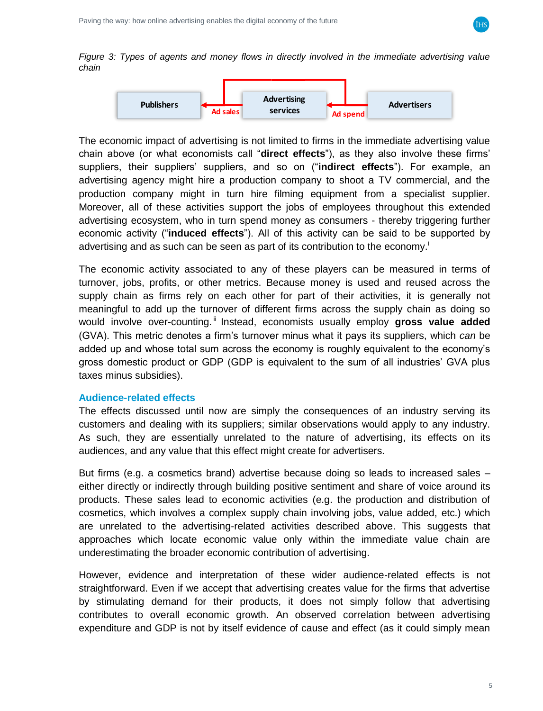

<span id="page-4-1"></span>*Figure 3: Types of agents and money flows in directly involved in the immediate advertising value chain*



The economic impact of advertising is not limited to firms in the immediate advertising value chain above (or what economists call "**direct effects**"), as they also involve these firms' suppliers, their suppliers' suppliers, and so on ("**indirect effects**"). For example, an advertising agency might hire a production company to shoot a TV commercial, and the production company might in turn hire filming equipment from a specialist supplier. Moreover, all of these activities support the jobs of employees throughout this extended advertising ecosystem, who in turn spend money as consumers - thereby triggering further economic activity ("**induced effects**"). All of this activity can be said to be supported by advertising and as such can be seen as part of its contribution to the economy.

The economic activity associated to any of these players can be measured in terms of turnover, jobs, profits, or other metrics. Because money is used and reused across the supply chain as firms rely on each other for part of their activities, it is generally not meaningful to add up the turnover of different firms across the supply chain as doing so would involve over-counting.<sup>"</sup> Instead, economists usually employ gross value added (GVA). This metric denotes a firm's turnover minus what it pays its suppliers, which *can* be added up and whose total sum across the economy is roughly equivalent to the economy's gross domestic product or GDP (GDP is equivalent to the sum of all industries' GVA plus taxes minus subsidies).

#### <span id="page-4-0"></span>**Audience-related effects**

The effects discussed until now are simply the consequences of an industry serving its customers and dealing with its suppliers; similar observations would apply to any industry. As such, they are essentially unrelated to the nature of advertising, its effects on its audiences, and any value that this effect might create for advertisers.

But firms (e.g. a cosmetics brand) advertise because doing so leads to increased sales – either directly or indirectly through building positive sentiment and share of voice around its products. These sales lead to economic activities (e.g. the production and distribution of cosmetics, which involves a complex supply chain involving jobs, value added, etc.) which are unrelated to the advertising-related activities described above. This suggests that approaches which locate economic value only within the immediate value chain are underestimating the broader economic contribution of advertising.

However, evidence and interpretation of these wider audience-related effects is not straightforward. Even if we accept that advertising creates value for the firms that advertise by stimulating demand for their products, it does not simply follow that advertising contributes to overall economic growth. An observed correlation between advertising expenditure and GDP is not by itself evidence of cause and effect (as it could simply mean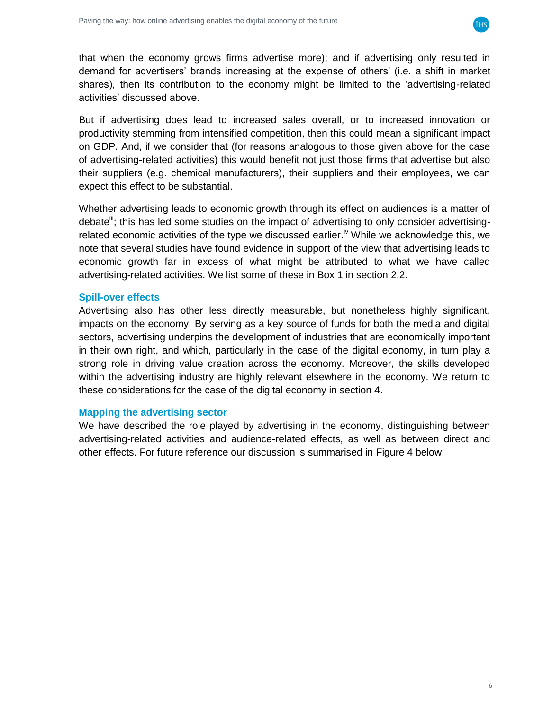

that when the economy grows firms advertise more); and if advertising only resulted in demand for advertisers' brands increasing at the expense of others' (i.e. a shift in market shares), then its contribution to the economy might be limited to the 'advertising-related activities' discussed above.

But if advertising does lead to increased sales overall, or to increased innovation or productivity stemming from intensified competition, then this could mean a significant impact on GDP. And, if we consider that (for reasons analogous to those given above for the case of advertising-related activities) this would benefit not just those firms that advertise but also their suppliers (e.g. chemical manufacturers), their suppliers and their employees, we can expect this effect to be substantial.

Whether advertising leads to economic growth through its effect on audiences is a matter of debate<sup>m</sup>; this has led some studies on the impact of advertising to only consider advertisingrelated economic activities of the type we discussed earlier.<sup>iv</sup> While we acknowledge this, we note that several studies have found evidence in support of the view that advertising leads to economic growth far in excess of what might be attributed to what we have called advertising-related activities. We list some of these in Box 1 in section [2.2.](#page-6-0)

#### <span id="page-5-0"></span>**Spill-over effects**

Advertising also has other less directly measurable, but nonetheless highly significant, impacts on the economy. By serving as a key source of funds for both the media and digital sectors, advertising underpins the development of industries that are economically important in their own right, and which, particularly in the case of the digital economy, in turn play a strong role in driving value creation across the economy. Moreover, the skills developed within the advertising industry are highly relevant elsewhere in the economy. We return to these considerations for the case of the digital economy in section [4.](#page-14-0)

#### <span id="page-5-1"></span>**Mapping the advertising sector**

We have described the role played by advertising in the economy, distinguishing between advertising-related activities and audience-related effects, as well as between direct and other effects. For future reference our discussion is summarised in [Figure 4](#page-6-1) below: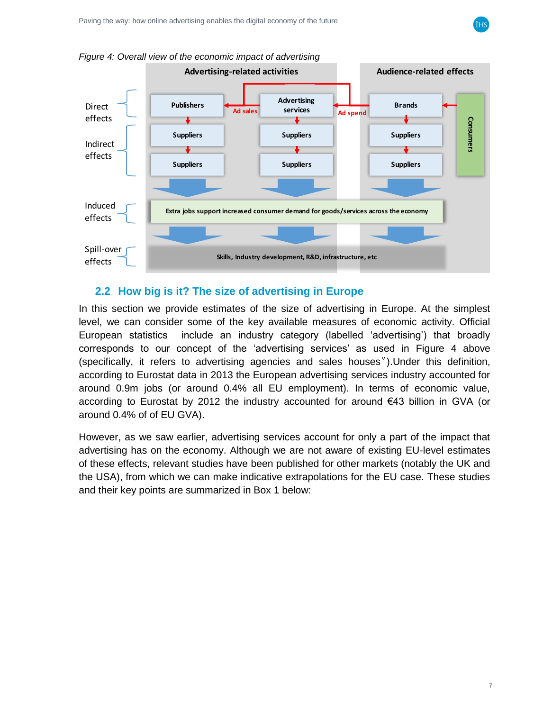

#### <span id="page-6-0"></span>**2.2 How big is it? The size of advertising in Europe**

In this section we provide estimates of the size of advertising in Europe. At the simplest level, we can consider some of the key available measures of economic activity. Official European statistics include an industry category (labelled 'advertising') that broadly corresponds to our concept of the 'advertising services' as used in [Figure 4](#page-6-1) above (specifically, it refers to advertising agencies and sales houses  $v$ ). Under this definition, according to Eurostat data in 2013 the European advertising services industry accounted for around 0.9m jobs (or around 0.4% all EU employment). In terms of economic value, according to Eurostat by 2012 the industry accounted for around €43 billion in GVA (or around 0.4% of of EU GVA).

However, as we saw earlier, advertising services account for only a part of the impact that advertising has on the economy. Although we are not aware of existing EU-level estimates of these effects, relevant studies have been published for other markets (notably the UK and the USA), from which we can make indicative extrapolations for the EU case. These studies and their key points are summarized in Box 1 below:

<span id="page-6-1"></span>*Figure 4: Overall view of the economic impact of advertising*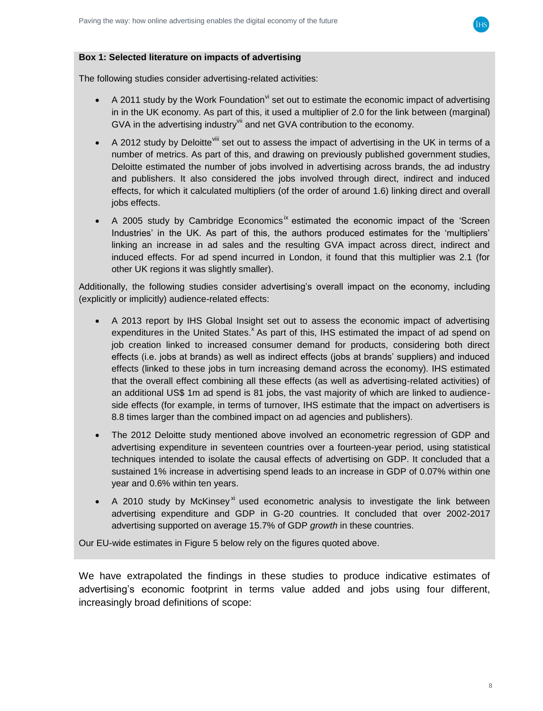

#### **Box 1: Selected literature on impacts of advertising**

The following studies consider advertising-related activities:

- A 2011 study by the Work Foundation  $\theta$  set out to estimate the economic impact of advertising in in the UK economy. As part of this, it used a multiplier of 2.0 for the link between (marginal) GVA in the advertising industry<sup>vii</sup> and net GVA contribution to the economy.
- A 2012 study by Deloitte <sup>viii</sup> set out to assess the impact of advertising in the UK in terms of a number of metrics. As part of this, and drawing on previously published government studies, Deloitte estimated the number of jobs involved in advertising across brands, the ad industry and publishers. It also considered the jobs involved through direct, indirect and induced effects, for which it calculated multipliers (of the order of around 1.6) linking direct and overall jobs effects.
- A 2005 study by Cambridge Economics<sup>ix</sup> estimated the economic impact of the 'Screen Industries' in the UK. As part of this, the authors produced estimates for the 'multipliers' linking an increase in ad sales and the resulting GVA impact across direct, indirect and induced effects. For ad spend incurred in London, it found that this multiplier was 2.1 (for other UK regions it was slightly smaller).

Additionally, the following studies consider advertising's overall impact on the economy, including (explicitly or implicitly) audience-related effects:

- A 2013 report by IHS Global Insight set out to assess the economic impact of advertising expenditures in the United States.<sup>x</sup> As part of this, IHS estimated the impact of ad spend on job creation linked to increased consumer demand for products, considering both direct effects (i.e. jobs at brands) as well as indirect effects (jobs at brands' suppliers) and induced effects (linked to these jobs in turn increasing demand across the economy). IHS estimated that the overall effect combining all these effects (as well as advertising-related activities) of an additional US\$ 1m ad spend is 81 jobs, the vast majority of which are linked to audienceside effects (for example, in terms of turnover, IHS estimate that the impact on advertisers is 8.8 times larger than the combined impact on ad agencies and publishers).
- The 2012 Deloitte study mentioned above involved an econometric regression of GDP and advertising expenditure in seventeen countries over a fourteen-year period, using statistical techniques intended to isolate the causal effects of advertising on GDP. It concluded that a sustained 1% increase in advertising spend leads to an increase in GDP of 0.07% within one year and 0.6% within ten years.
- A 2010 study by McKinsey<sup>xi</sup> used econometric analysis to investigate the link between advertising expenditure and GDP in G-20 countries. It concluded that over 2002-2017 advertising supported on average 15.7% of GDP *growth* in these countries.

Our EU-wide estimates in [Figure](#page-8-0) 5 below rely on the figures quoted above.

We have extrapolated the findings in these studies to produce indicative estimates of advertising's economic footprint in terms value added and jobs using four different, increasingly broad definitions of scope: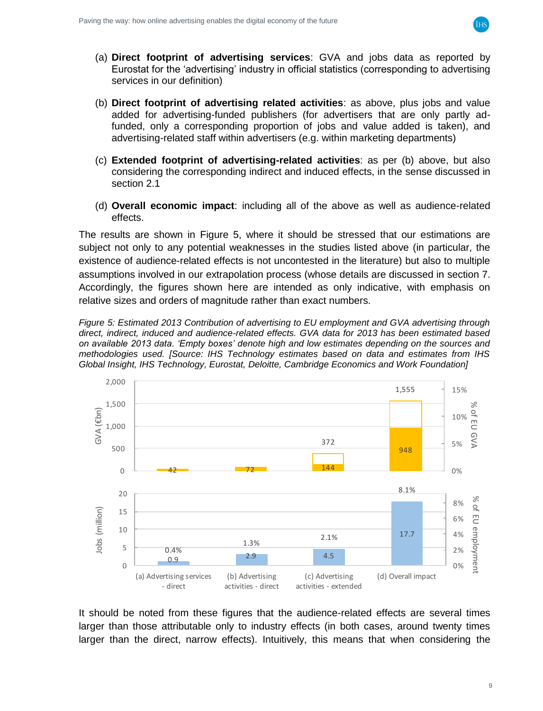

- (a) **Direct footprint of advertising services**: GVA and jobs data as reported by Eurostat for the 'advertising' industry in official statistics (corresponding to advertising services in our definition)
- (b) **Direct footprint of advertising related activities**: as above, plus jobs and value added for advertising-funded publishers (for advertisers that are only partly adfunded, only a corresponding proportion of jobs and value added is taken), and advertising-related staff within advertisers (e.g. within marketing departments)
- (c) **Extended footprint of advertising-related activities**: as per (b) above, but also considering the corresponding indirect and induced effects, in the sense discussed in section [2.1](#page-3-1)
- (d) **Overall economic impact**: including all of the above as well as audience-related effects.

The results are shown in [Figure](#page-8-0) 5, where it should be stressed that our estimations are subject not only to any potential weaknesses in the studies listed above (in particular, the existence of audience-related effects is not uncontested in the literature) but also to multiple assumptions involved in our extrapolation process (whose details are discussed in section [7.](#page-20-0) Accordingly, the figures shown here are intended as only indicative, with emphasis on relative sizes and orders of magnitude rather than exact numbers.

<span id="page-8-0"></span>*Figure 5: Estimated 2013 Contribution of advertising to EU employment and GVA advertising through direct, indirect, induced and audience-related effects. GVA data for 2013 has been estimated based on available 2013 data. 'Empty boxes' denote high and low estimates depending on the sources and methodologies used. [Source: IHS Technology estimates based on data and estimates from IHS Global Insight, IHS Technology, Eurostat, Deloitte, Cambridge Economics and Work Foundation]*



It should be noted from these figures that the audience-related effects are several times larger than those attributable only to industry effects (in both cases, around twenty times larger than the direct, narrow effects). Intuitively, this means that when considering the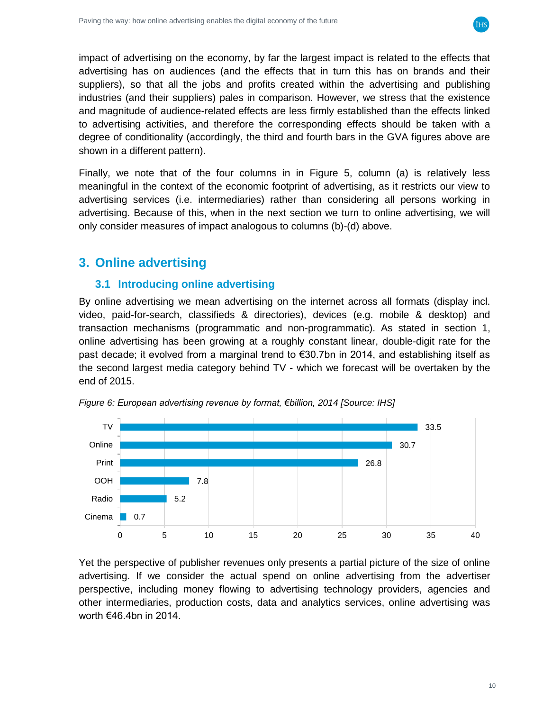

impact of advertising on the economy, by far the largest impact is related to the effects that advertising has on audiences (and the effects that in turn this has on brands and their suppliers), so that all the jobs and profits created within the advertising and publishing industries (and their suppliers) pales in comparison. However, we stress that the existence and magnitude of audience-related effects are less firmly established than the effects linked to advertising activities, and therefore the corresponding effects should be taken with a degree of conditionality (accordingly, the third and fourth bars in the GVA figures above are shown in a different pattern).

Finally, we note that of the four columns in in [Figure](#page-8-0) 5, column (a) is relatively less meaningful in the context of the economic footprint of advertising, as it restricts our view to advertising services (i.e. intermediaries) rather than considering all persons working in advertising. Because of this, when in the next section we turn to online advertising, we will only consider measures of impact analogous to columns (b)-(d) above.

# <span id="page-9-1"></span><span id="page-9-0"></span>**3. Online advertising**

### **3.1 Introducing online advertising**

By online advertising we mean advertising on the internet across all formats (display incl. video, paid-for-search, classifieds & directories), devices (e.g. mobile & desktop) and transaction mechanisms (programmatic and non-programmatic). As stated in section [1,](#page-2-0) online advertising has been growing at a roughly constant linear, double-digit rate for the past decade; it evolved from a marginal trend to €30.7bn in 2014, and establishing itself as the second largest media category behind TV - which we forecast will be overtaken by the end of 2015.



*Figure 6: European advertising revenue by format, €billion, 2014 [Source: IHS]*

Yet the perspective of publisher revenues only presents a partial picture of the size of online advertising. If we consider the actual spend on online advertising from the advertiser perspective, including money flowing to advertising technology providers, agencies and other intermediaries, production costs, data and analytics services, online advertising was worth €46.4bn in 2014.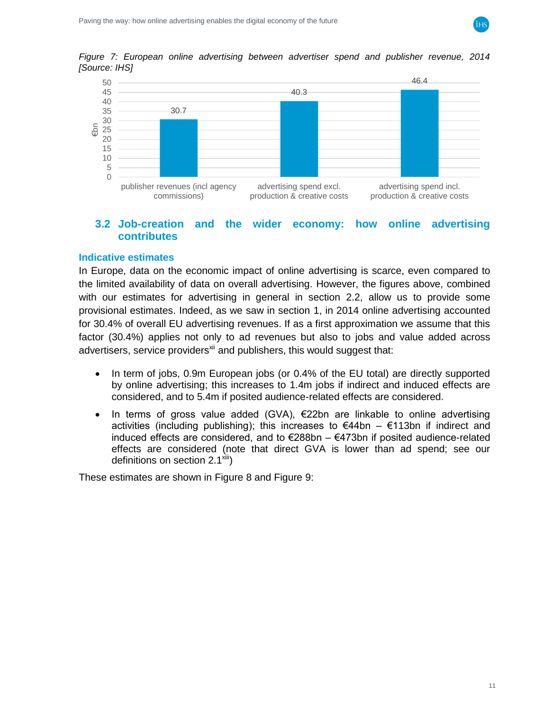





#### <span id="page-10-0"></span>**3.2 Job-creation and the wider economy: how online advertising contributes**

#### <span id="page-10-1"></span>**Indicative estimates**

In Europe, data on the economic impact of online advertising is scarce, even compared to the limited availability of data on overall advertising. However, the figures above, combined with our estimates for advertising in general in section [2.2,](#page-6-0) allow us to provide some provisional estimates. Indeed, as we saw in section [1,](#page-2-0) in 2014 online advertising accounted for 30.4% of overall EU advertising revenues. If as a first approximation we assume that this factor (30.4%) applies not only to ad revenues but also to jobs and value added across advertisers, service providers<sup>xii</sup> and publishers, this would suggest that:

- In term of jobs, 0.9m European jobs (or 0.4% of the EU total) are directly supported by online advertising; this increases to 1.4m jobs if indirect and induced effects are considered, and to 5.4m if posited audience-related effects are considered.
- In terms of gross value added (GVA),  $E22bn$  are linkable to online advertising activities (including publishing); this increases to €44bn – €113bn if indirect and induced effects are considered, and to €288bn – €473bn if posited audience-related effects are considered (note that direct GVA is lower than ad spend; see our definitions on section  $2.1^{\text{Xiii}}$ )

These estimates are shown in [Figure 8](#page-11-1) and [Figure 9:](#page-11-2)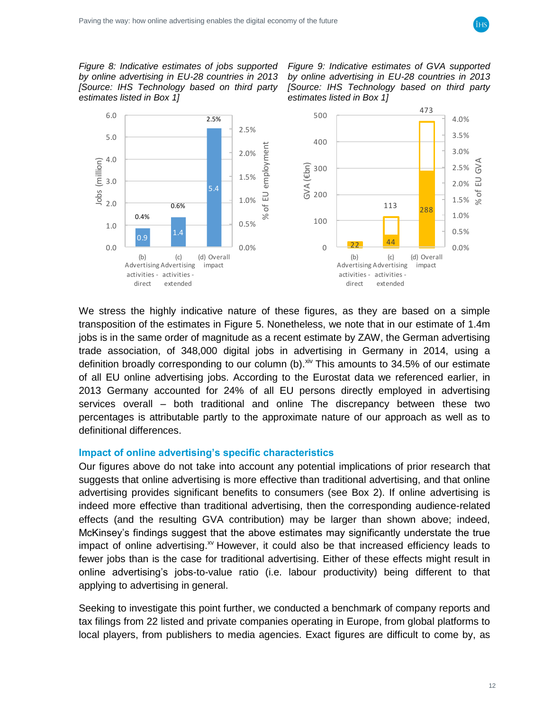

<span id="page-11-1"></span>*Figure 8: Indicative estimates of jobs supported by online advertising in EU-28 countries in 2013 [Source: IHS Technology based on third party estimates listed in Box 1]*

<span id="page-11-2"></span>*Figure 9: Indicative estimates of GVA supported by online advertising in EU-28 countries in 2013 [Source: IHS Technology based on third party estimates listed in Box 1]*



We stress the highly indicative nature of these figures, as they are based on a simple transposition of the estimates in [Figure](#page-8-0) 5. Nonetheless, we note that in our estimate of 1.4m jobs is in the same order of magnitude as a recent estimate by ZAW, the German advertising trade association, of 348,000 digital jobs in advertising in Germany in 2014, using a definition broadly corresponding to our column (b).<sup>xiv</sup> This amounts to 34.5% of our estimate of all EU online advertising jobs. According to the Eurostat data we referenced earlier, in 2013 Germany accounted for 24% of all EU persons directly employed in advertising services overall – both traditional and online The discrepancy between these two percentages is attributable partly to the approximate nature of our approach as well as to definitional differences.

#### <span id="page-11-0"></span>**Impact of online advertising's specific characteristics**

Our figures above do not take into account any potential implications of prior research that suggests that online advertising is more effective than traditional advertising, and that online advertising provides significant benefits to consumers (see Box 2). If online advertising is indeed more effective than traditional advertising, then the corresponding audience-related effects (and the resulting GVA contribution) may be larger than shown above; indeed, McKinsey's findings suggest that the above estimates may significantly understate the true impact of online advertising. $^{x}$  However, it could also be that increased efficiency leads to fewer jobs than is the case for traditional advertising. Either of these effects might result in online advertising's jobs-to-value ratio (i.e. labour productivity) being different to that applying to advertising in general.

Seeking to investigate this point further, we conducted a benchmark of company reports and tax filings from 22 listed and private companies operating in Europe, from global platforms to local players, from publishers to media agencies. Exact figures are difficult to come by, as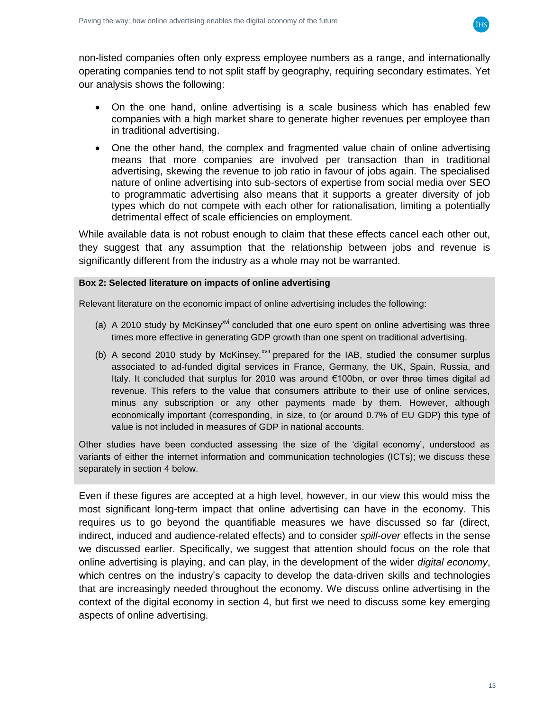

non-listed companies often only express employee numbers as a range, and internationally operating companies tend to not split staff by geography, requiring secondary estimates. Yet our analysis shows the following:

- On the one hand, online advertising is a scale business which has enabled few companies with a high market share to generate higher revenues per employee than in traditional advertising.
- One the other hand, the complex and fragmented value chain of online advertising means that more companies are involved per transaction than in traditional advertising, skewing the revenue to job ratio in favour of jobs again. The specialised nature of online advertising into sub-sectors of expertise from social media over SEO to programmatic advertising also means that it supports a greater diversity of job types which do not compete with each other for rationalisation, limiting a potentially detrimental effect of scale efficiencies on employment.

While available data is not robust enough to claim that these effects cancel each other out, they suggest that any assumption that the relationship between jobs and revenue is significantly different from the industry as a whole may not be warranted.

#### **Box 2: Selected literature on impacts of online advertising**

Relevant literature on the economic impact of online advertising includes the following:

- (a) A 2010 study by McKinsey<sup>xvi</sup> concluded that one euro spent on online advertising was three times more effective in generating GDP growth than one spent on traditional advertising.
- (b) A second 2010 study by McKinsey, $x^{\text{vii}}$  prepared for the IAB, studied the consumer surplus associated to ad-funded digital services in France, Germany, the UK, Spain, Russia, and Italy. It concluded that surplus for 2010 was around €100bn, or over three times digital ad revenue. This refers to the value that consumers attribute to their use of online services, minus any subscription or any other payments made by them. However, although economically important (corresponding, in size, to (or around 0.7% of EU GDP) this type of value is not included in measures of GDP in national accounts.

Other studies have been conducted assessing the size of the 'digital economy', understood as variants of either the internet information and communication technologies (ICTs); we discuss these separately in section [4](#page-14-0) below.

Even if these figures are accepted at a high level, however, in our view this would miss the most significant long-term impact that online advertising can have in the economy. This requires us to go beyond the quantifiable measures we have discussed so far (direct, indirect, induced and audience-related effects) and to consider *spill-over* effects in the sense we discussed earlier. Specifically, we suggest that attention should focus on the role that online advertising is playing, and can play, in the development of the wider *digital economy*, which centres on the industry's capacity to develop the data-driven skills and technologies that are increasingly needed throughout the economy. We discuss online advertising in the context of the digital economy in section [4,](#page-14-0) but first we need to discuss some key emerging aspects of online advertising.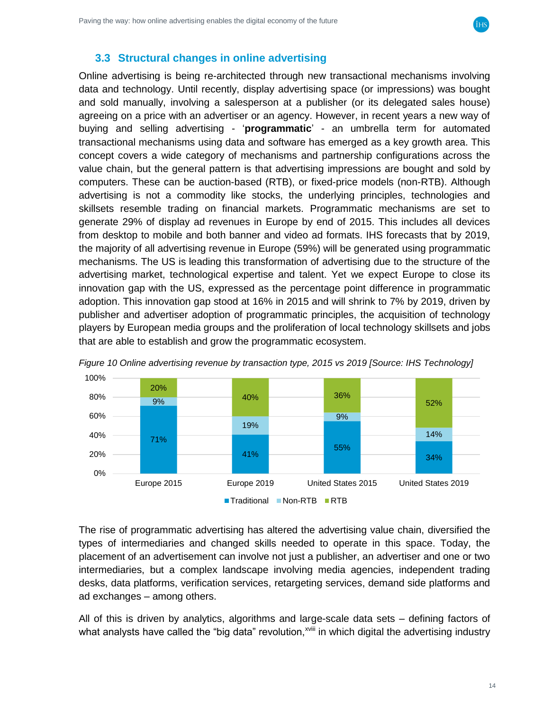

#### <span id="page-13-0"></span>**3.3 Structural changes in online advertising**

Online advertising is being re-architected through new transactional mechanisms involving data and technology. Until recently, display advertising space (or impressions) was bought and sold manually, involving a salesperson at a publisher (or its delegated sales house) agreeing on a price with an advertiser or an agency. However, in recent years a new way of buying and selling advertising - '**programmatic**' - an umbrella term for automated transactional mechanisms using data and software has emerged as a key growth area. This concept covers a wide category of mechanisms and partnership configurations across the value chain, but the general pattern is that advertising impressions are bought and sold by computers. These can be auction-based (RTB), or fixed-price models (non-RTB). Although advertising is not a commodity like stocks, the underlying principles, technologies and skillsets resemble trading on financial markets. Programmatic mechanisms are set to generate 29% of display ad revenues in Europe by end of 2015. This includes all devices from desktop to mobile and both banner and video ad formats. IHS forecasts that by 2019, the majority of all advertising revenue in Europe (59%) will be generated using programmatic mechanisms. The US is leading this transformation of advertising due to the structure of the advertising market, technological expertise and talent. Yet we expect Europe to close its innovation gap with the US, expressed as the percentage point difference in programmatic adoption. This innovation gap stood at 16% in 2015 and will shrink to 7% by 2019, driven by publisher and advertiser adoption of programmatic principles, the acquisition of technology players by European media groups and the proliferation of local technology skillsets and jobs that are able to establish and grow the programmatic ecosystem.





The rise of programmatic advertising has altered the advertising value chain, diversified the types of intermediaries and changed skills needed to operate in this space. Today, the placement of an advertisement can involve not just a publisher, an advertiser and one or two intermediaries, but a complex landscape involving media agencies, independent trading desks, data platforms, verification services, retargeting services, demand side platforms and ad exchanges – among others.

All of this is driven by analytics, algorithms and large-scale data sets – defining factors of what analysts have called the "big data" revolution,<sup>xviii</sup> in which digital the advertising industry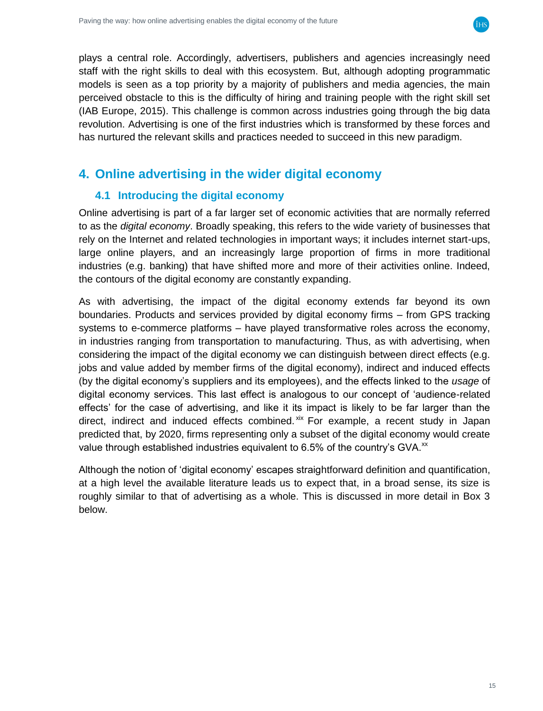

plays a central role. Accordingly, advertisers, publishers and agencies increasingly need staff with the right skills to deal with this ecosystem. But, although adopting programmatic models is seen as a top priority by a majority of publishers and media agencies, the main perceived obstacle to this is the difficulty of hiring and training people with the right skill set (IAB Europe, 2015). This challenge is common across industries going through the big data revolution. Advertising is one of the first industries which is transformed by these forces and has nurtured the relevant skills and practices needed to succeed in this new paradigm.

# <span id="page-14-1"></span><span id="page-14-0"></span>**4. Online advertising in the wider digital economy**

### **4.1 Introducing the digital economy**

Online advertising is part of a far larger set of economic activities that are normally referred to as the *digital economy*. Broadly speaking, this refers to the wide variety of businesses that rely on the Internet and related technologies in important ways; it includes internet start-ups, large online players, and an increasingly large proportion of firms in more traditional industries (e.g. banking) that have shifted more and more of their activities online. Indeed, the contours of the digital economy are constantly expanding.

As with advertising, the impact of the digital economy extends far beyond its own boundaries. Products and services provided by digital economy firms – from GPS tracking systems to e-commerce platforms – have played transformative roles across the economy, in industries ranging from transportation to manufacturing. Thus, as with advertising, when considering the impact of the digital economy we can distinguish between direct effects (e.g. jobs and value added by member firms of the digital economy), indirect and induced effects (by the digital economy's suppliers and its employees), and the effects linked to the *usage* of digital economy services. This last effect is analogous to our concept of 'audience-related effects' for the case of advertising, and like it its impact is likely to be far larger than the direct, indirect and induced effects combined. Xix For example, a recent study in Japan predicted that, by 2020, firms representing only a subset of the digital economy would create value through established industries equivalent to  $6.5\%$  of the country's GVA.<sup>xx</sup>

Although the notion of 'digital economy' escapes straightforward definition and quantification, at a high level the available literature leads us to expect that, in a broad sense, its size is roughly similar to that of advertising as a whole. This is discussed in more detail in Box 3 below.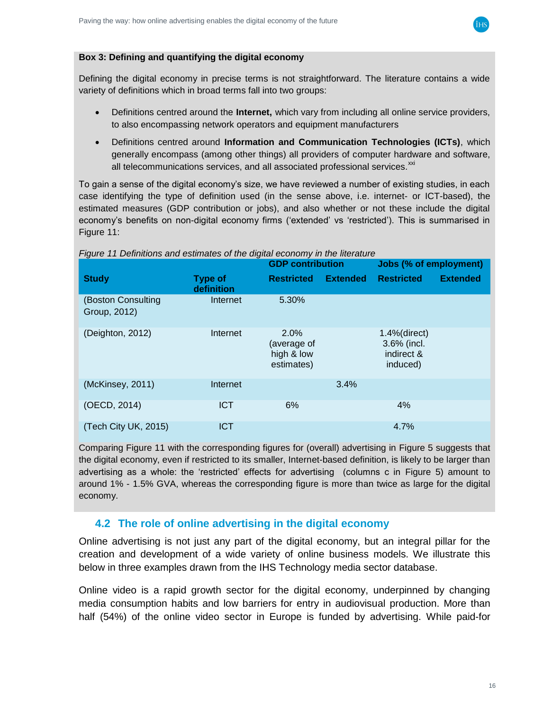

#### **Box 3: Defining and quantifying the digital economy**

Defining the digital economy in precise terms is not straightforward. The literature contains a wide variety of definitions which in broad terms fall into two groups:

- Definitions centred around the **Internet,** which vary from including all online service providers, to also encompassing network operators and equipment manufacturers
- Definitions centred around **Information and Communication Technologies (ICTs)**, which generally encompass (among other things) all providers of computer hardware and software, all telecommunications services, and all associated professional services. $^{xxi}$

To gain a sense of the digital economy's size, we have reviewed a number of existing studies, in each case identifying the type of definition used (in the sense above, i.e. internet- or ICT-based), the estimated measures (GDP contribution or jobs), and also whether or not these include the digital economy's benefits on non-digital economy firms ('extended' vs 'restricted'). This is summarised in [Figure 11:](#page-15-1)

|                                    |                              | <b>GDP</b> contribution                         |                 | Jobs (% of employment)                                   |                 |
|------------------------------------|------------------------------|-------------------------------------------------|-----------------|----------------------------------------------------------|-----------------|
| <b>Study</b>                       | <b>Type of</b><br>definition | <b>Restricted</b>                               | <b>Extended</b> | <b>Restricted</b>                                        | <b>Extended</b> |
| (Boston Consulting<br>Group, 2012) | Internet                     | 5.30%                                           |                 |                                                          |                 |
| (Deighton, 2012)                   | Internet                     | 2.0%<br>(average of<br>high & low<br>estimates) |                 | $1.4%$ (direct)<br>3.6% (incl.<br>indirect &<br>induced) |                 |
| (McKinsey, 2011)                   | Internet                     |                                                 | 3.4%            |                                                          |                 |
| (OECD, 2014)                       | <b>ICT</b>                   | 6%                                              |                 | 4%                                                       |                 |
| (Tech City UK, 2015)               | <b>ICT</b>                   |                                                 |                 | 4.7%                                                     |                 |

<span id="page-15-1"></span>*Figure 11 Definitions and estimates of the digital economy in the literature*

Comparing [Figure 11](#page-15-1) with the corresponding figures for (overall) advertising in [Figure](#page-8-0) 5 suggests that the digital economy, even if restricted to its smaller, Internet-based definition, is likely to be larger than advertising as a whole: the 'restricted' effects for advertising (columns c in [Figure](#page-8-0) 5) amount to around 1% - 1.5% GVA, whereas the corresponding figure is more than twice as large for the digital economy.

#### <span id="page-15-0"></span>**4.2 The role of online advertising in the digital economy**

Online advertising is not just any part of the digital economy, but an integral pillar for the creation and development of a wide variety of online business models. We illustrate this below in three examples drawn from the IHS Technology media sector database.

Online video is a rapid growth sector for the digital economy, underpinned by changing media consumption habits and low barriers for entry in audiovisual production. More than half (54%) of the online video sector in Europe is funded by advertising. While paid-for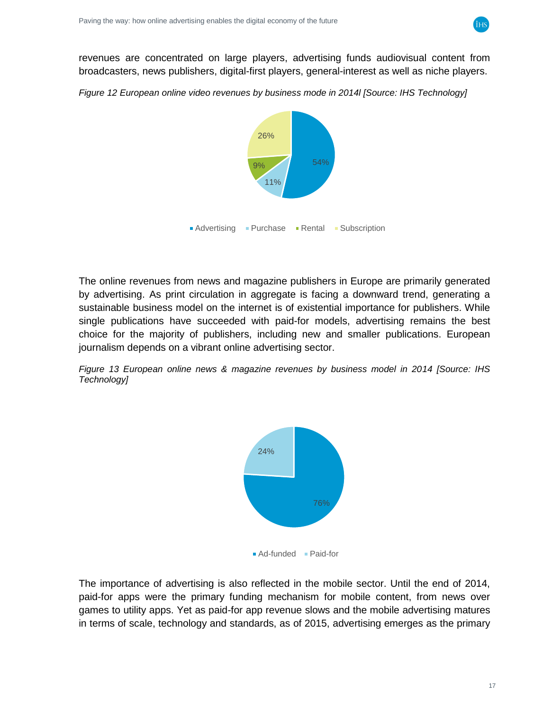

revenues are concentrated on large players, advertising funds audiovisual content from broadcasters, news publishers, digital-first players, general-interest as well as niche players.

*Figure 12 European online video revenues by business mode in 2014l [Source: IHS Technology]*



The online revenues from news and magazine publishers in Europe are primarily generated by advertising. As print circulation in aggregate is facing a downward trend, generating a sustainable business model on the internet is of existential importance for publishers. While single publications have succeeded with paid-for models, advertising remains the best choice for the majority of publishers, including new and smaller publications. European journalism depends on a vibrant online advertising sector.

*Figure 13 European online news & magazine revenues by business model in 2014 [Source: IHS Technology]*



The importance of advertising is also reflected in the mobile sector. Until the end of 2014, paid-for apps were the primary funding mechanism for mobile content, from news over games to utility apps. Yet as paid-for app revenue slows and the mobile advertising matures in terms of scale, technology and standards, as of 2015, advertising emerges as the primary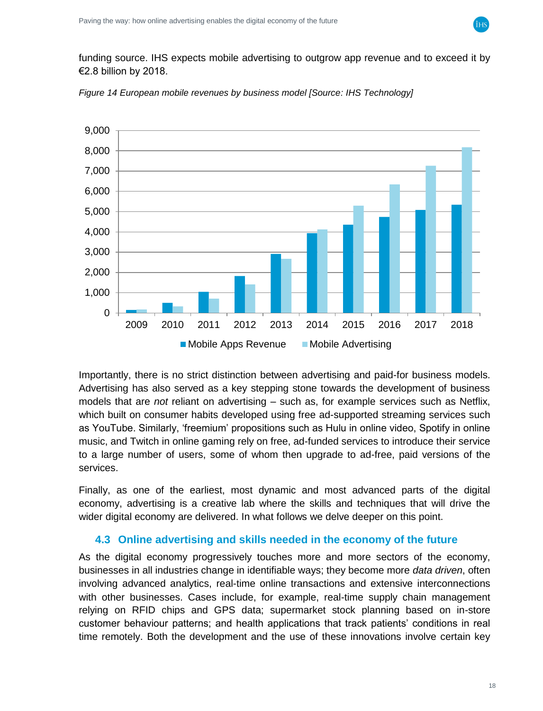funding source. IHS expects mobile advertising to outgrow app revenue and to exceed it by €2.8 billion by 2018.



*Figure 14 European mobile revenues by business model [Source: IHS Technology]*

Importantly, there is no strict distinction between advertising and paid-for business models. Advertising has also served as a key stepping stone towards the development of business models that are *not* reliant on advertising – such as, for example services such as Netflix, which built on consumer habits developed using free ad-supported streaming services such as YouTube. Similarly, 'freemium' propositions such as Hulu in online video, Spotify in online music, and Twitch in online gaming rely on free, ad-funded services to introduce their service to a large number of users, some of whom then upgrade to ad-free, paid versions of the services.

Finally, as one of the earliest, most dynamic and most advanced parts of the digital economy, advertising is a creative lab where the skills and techniques that will drive the wider digital economy are delivered. In what follows we delve deeper on this point.

#### <span id="page-17-0"></span>**4.3 Online advertising and skills needed in the economy of the future**

As the digital economy progressively touches more and more sectors of the economy, businesses in all industries change in identifiable ways; they become more *data driven*, often involving advanced analytics, real-time online transactions and extensive interconnections with other businesses. Cases include, for example, real-time supply chain management relying on RFID chips and GPS data; supermarket stock planning based on in-store customer behaviour patterns; and health applications that track patients' conditions in real time remotely. Both the development and the use of these innovations involve certain key

iнs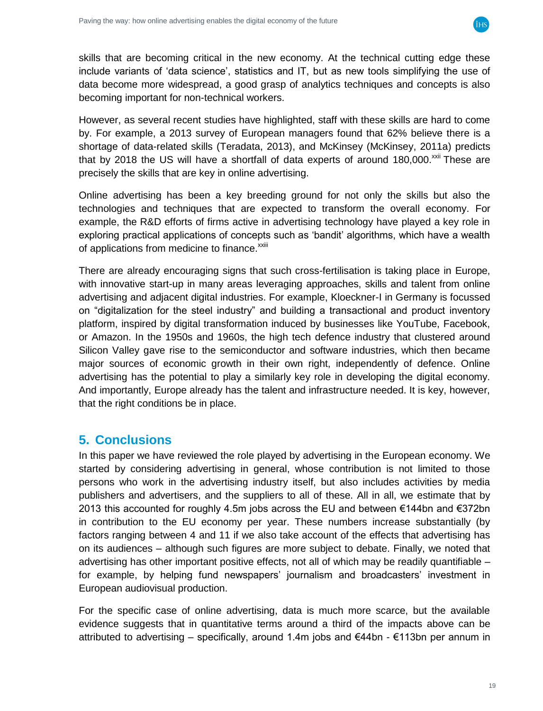

skills that are becoming critical in the new economy. At the technical cutting edge these include variants of 'data science', statistics and IT, but as new tools simplifying the use of data become more widespread, a good grasp of analytics techniques and concepts is also becoming important for non-technical workers.

However, as several recent studies have highlighted, staff with these skills are hard to come by. For example, a 2013 survey of European managers found that 62% believe there is a shortage of data-related skills (Teradata, 2013), and McKinsey (McKinsey, 2011a) predicts that by 2018 the US will have a shortfall of data experts of around 180,000. $xxi$  These are precisely the skills that are key in online advertising.

Online advertising has been a key breeding ground for not only the skills but also the technologies and techniques that are expected to transform the overall economy. For example, the R&D efforts of firms active in advertising technology have played a key role in exploring practical applications of concepts such as 'bandit' algorithms, which have a wealth of applications from medicine to finance.<sup>xxiii</sup>

There are already encouraging signs that such cross-fertilisation is taking place in Europe, with innovative start-up in many areas leveraging approaches, skills and talent from online advertising and adjacent digital industries. For example, Kloeckner-I in Germany is focussed on "digitalization for the steel industry" and building a transactional and product inventory platform, inspired by digital transformation induced by businesses like YouTube, Facebook, or Amazon. In the 1950s and 1960s, the high tech defence industry that clustered around Silicon Valley gave rise to the semiconductor and software industries, which then became major sources of economic growth in their own right, independently of defence. Online advertising has the potential to play a similarly key role in developing the digital economy. And importantly, Europe already has the talent and infrastructure needed. It is key, however, that the right conditions be in place.

### <span id="page-18-0"></span>**5. Conclusions**

In this paper we have reviewed the role played by advertising in the European economy. We started by considering advertising in general, whose contribution is not limited to those persons who work in the advertising industry itself, but also includes activities by media publishers and advertisers, and the suppliers to all of these. All in all, we estimate that by 2013 this accounted for roughly 4.5m jobs across the EU and between €144bn and €372bn in contribution to the EU economy per year. These numbers increase substantially (by factors ranging between 4 and 11 if we also take account of the effects that advertising has on its audiences – although such figures are more subject to debate. Finally, we noted that advertising has other important positive effects, not all of which may be readily quantifiable – for example, by helping fund newspapers' journalism and broadcasters' investment in European audiovisual production.

For the specific case of online advertising, data is much more scarce, but the available evidence suggests that in quantitative terms around a third of the impacts above can be attributed to advertising – specifically, around 1.4m jobs and €44bn - €113bn per annum in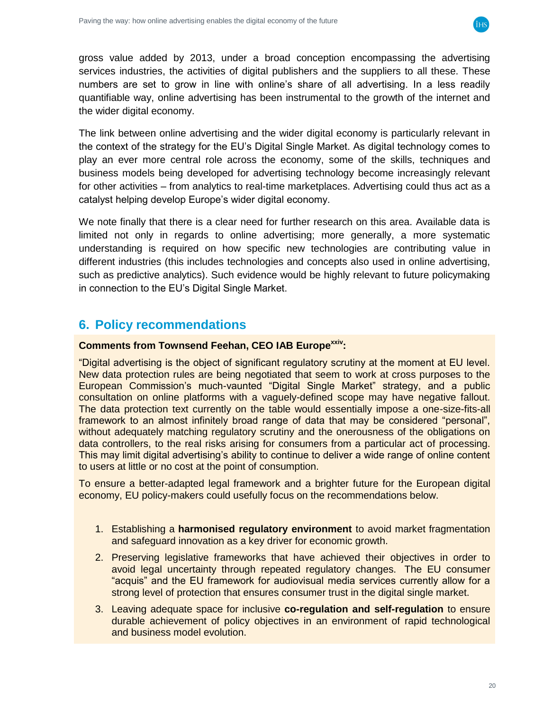

gross value added by 2013, under a broad conception encompassing the advertising services industries, the activities of digital publishers and the suppliers to all these. These numbers are set to grow in line with online's share of all advertising. In a less readily quantifiable way, online advertising has been instrumental to the growth of the internet and the wider digital economy.

The link between online advertising and the wider digital economy is particularly relevant in the context of the strategy for the EU's Digital Single Market. As digital technology comes to play an ever more central role across the economy, some of the skills, techniques and business models being developed for advertising technology become increasingly relevant for other activities – from analytics to real-time marketplaces. Advertising could thus act as a catalyst helping develop Europe's wider digital economy.

We note finally that there is a clear need for further research on this area. Available data is limited not only in regards to online advertising; more generally, a more systematic understanding is required on how specific new technologies are contributing value in different industries (this includes technologies and concepts also used in online advertising, such as predictive analytics). Such evidence would be highly relevant to future policymaking in connection to the EU's Digital Single Market.

# <span id="page-19-0"></span>**6. Policy recommendations**

#### **Comments from Townsend Feehan, CEO IAB Europexxiv:**

"Digital advertising is the object of significant regulatory scrutiny at the moment at EU level. New data protection rules are being negotiated that seem to work at cross purposes to the European Commission's much-vaunted "Digital Single Market" strategy, and a public consultation on online platforms with a vaguely-defined scope may have negative fallout. The data protection text currently on the table would essentially impose a one-size-fits-all framework to an almost infinitely broad range of data that may be considered "personal", without adequately matching regulatory scrutiny and the onerousness of the obligations on data controllers, to the real risks arising for consumers from a particular act of processing. This may limit digital advertising's ability to continue to deliver a wide range of online content to users at little or no cost at the point of consumption.

To ensure a better-adapted legal framework and a brighter future for the European digital economy, EU policy-makers could usefully focus on the recommendations below.

- 1. Establishing a **harmonised regulatory environment** to avoid market fragmentation and safeguard innovation as a key driver for economic growth.
- 2. Preserving legislative frameworks that have achieved their objectives in order to avoid legal uncertainty through repeated regulatory changes. The EU consumer "acquis" and the EU framework for audiovisual media services currently allow for a strong level of protection that ensures consumer trust in the digital single market.
- 3. Leaving adequate space for inclusive **co-regulation and self-regulation** to ensure durable achievement of policy objectives in an environment of rapid technological and business model evolution.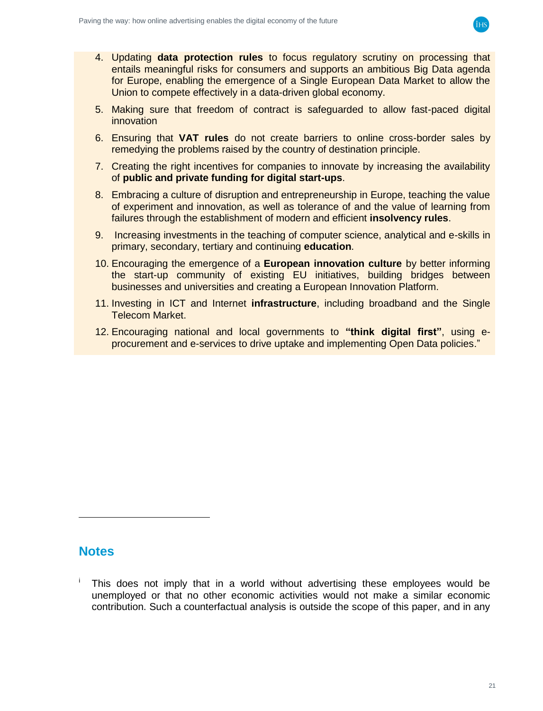

- 4. Updating **data protection rules** to focus regulatory scrutiny on processing that entails meaningful risks for consumers and supports an ambitious Big Data agenda for Europe, enabling the emergence of a Single European Data Market to allow the Union to compete effectively in a data-driven global economy.
- 5. Making sure that freedom of contract is safeguarded to allow fast-paced digital innovation
- 6. Ensuring that **VAT rules** do not create barriers to online cross-border sales by remedying the problems raised by the country of destination principle.
- <span id="page-20-0"></span>7. Creating the right incentives for companies to innovate by increasing the availability of **public and private funding for digital start-ups**.
- 8. Embracing a culture of disruption and entrepreneurship in Europe, teaching the value of experiment and innovation, as well as tolerance of and the value of learning from failures through the establishment of modern and efficient **insolvency rules**.
- 9. Increasing investments in the teaching of computer science, analytical and e-skills in primary, secondary, tertiary and continuing **education**.
- 10. Encouraging the emergence of a **European innovation culture** by better informing the start-up community of existing EU initiatives, building bridges between businesses and universities and creating a European Innovation Platform.
- 11. Investing in ICT and Internet **infrastructure**, including broadband and the Single Telecom Market.
- 12. Encouraging national and local governments to **"think digital first"**, using eprocurement and e-services to drive uptake and implementing Open Data policies."

### **Notes**

This does not imply that in a world without advertising these employees would be unemployed or that no other economic activities would not make a similar economic contribution. Such a counterfactual analysis is outside the scope of this paper, and in any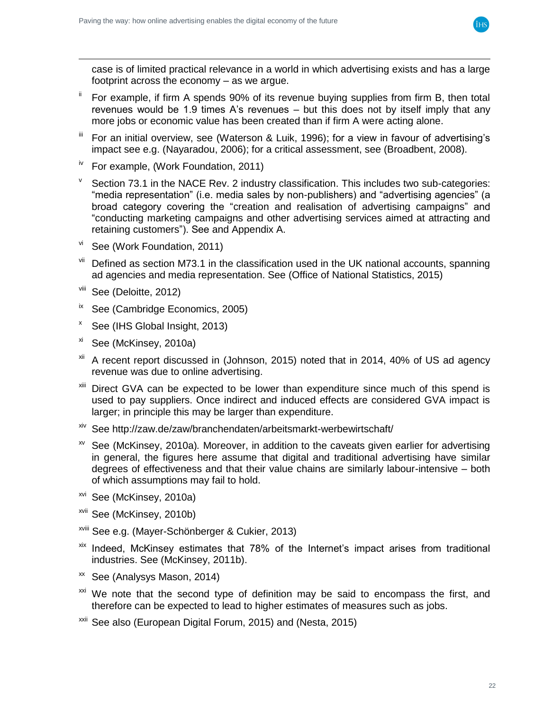case is of limited practical relevance in a world in which advertising exists and has a large footprint across the economy – as we argue.

- <sup>ii</sup> For example, if firm A spends 90% of its revenue buying supplies from firm B, then total revenues would be 1.9 times A's revenues – but this does not by itself imply that any more jobs or economic value has been created than if firm A were acting alone.
- For an initial overview, see (Waterson & Luik, 1996); for a view in favour of advertising's impact see e.g. (Nayaradou, 2006); for a critical assessment, see (Broadbent, 2008).
- $iv$  For example, (Work Foundation, 2011)
- $V$  Section 73.1 in the NACE Rev. 2 industry classification. This includes two sub-categories: "media representation" (i.e. media sales by non-publishers) and "advertising agencies" (a broad category covering the "creation and realisation of advertising campaigns" and "conducting marketing campaigns and other advertising services aimed at attracting and retaining customers"). See and Appendix A.
- vi See (Work Foundation, 2011)
- $V<sup>iii</sup>$  Defined as section M73.1 in the classification used in the UK national accounts, spanning ad agencies and media representation. See (Office of National Statistics, 2015)
- viii See (Deloitte, 2012)

 $\overline{a}$ 

- $i$ <sup>x</sup> See (Cambridge Economics, 2005)
- <sup>x</sup> See (IHS Global Insight, 2013)
- xi See (McKinsey, 2010a)
- <sup>xii</sup> A recent report discussed in (Johnson, 2015) noted that in 2014, 40% of US ad agency revenue was due to online advertising.
- Direct GVA can be expected to be lower than expenditure since much of this spend is used to pay suppliers. Once indirect and induced effects are considered GVA impact is larger; in principle this may be larger than expenditure.
- xiv See http://zaw.de/zaw/branchendaten/arbeitsmarkt-werbewirtschaft/
- xv See (McKinsey, 2010a)*.* Moreover, in addition to the caveats given earlier for advertising in general, the figures here assume that digital and traditional advertising have similar degrees of effectiveness and that their value chains are similarly labour-intensive – both of which assumptions may fail to hold.
- xvi See (McKinsey, 2010a)
- xvii See (McKinsey, 2010b)
- xviii See e.g. (Mayer-Schönberger & Cukier, 2013)
- $x$ <sup>xix</sup> Indeed, McKinsey estimates that 78% of the Internet's impact arises from traditional industries. See (McKinsey, 2011b).
- xx See (Analysys Mason, 2014)
- <sup>xxi</sup> We note that the second type of definition may be said to encompass the first, and therefore can be expected to lead to higher estimates of measures such as jobs.
- <sup>xxii</sup> See also (European Digital Forum, 2015) and (Nesta, 2015)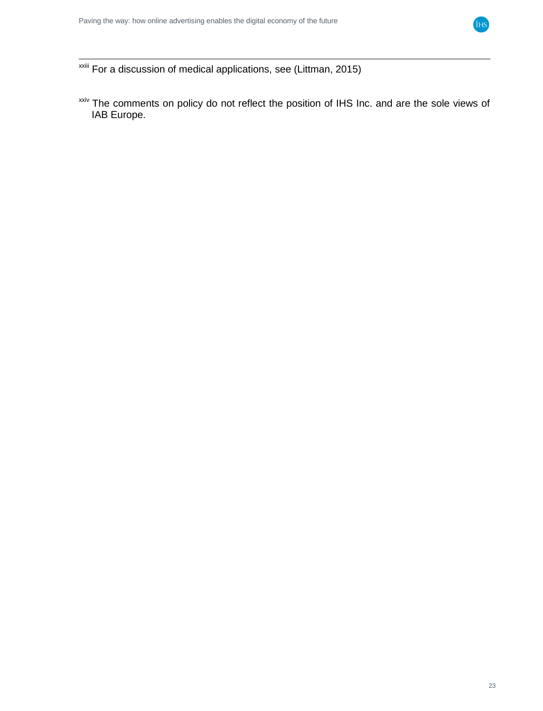

 $\overline{a}$ <sup>xxiii</sup> For a discussion of medical applications, see (Littman, 2015)

xxiv The comments on policy do not reflect the position of IHS Inc. and are the sole views of IAB Europe.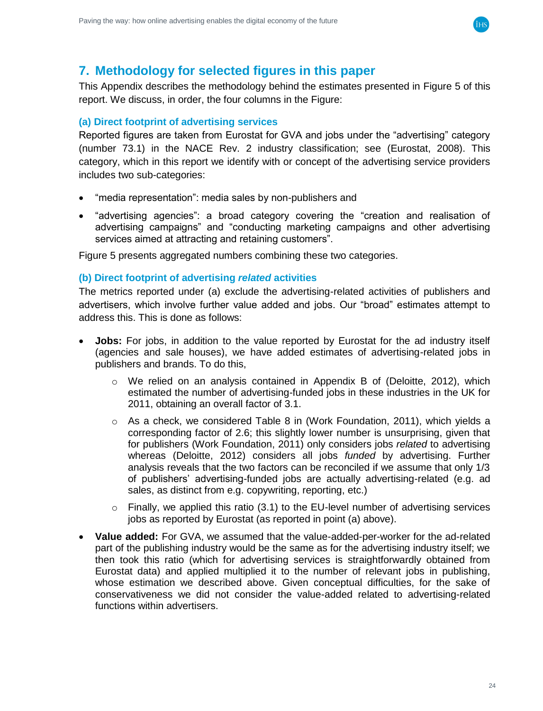

### <span id="page-23-0"></span>**7. Methodology for selected figures in this paper**

This Appendix describes the methodology behind the estimates presented in [Figure](#page-8-0) 5 of this report. We discuss, in order, the four columns in the Figure:

#### <span id="page-23-1"></span>**(a) Direct footprint of advertising services**

Reported figures are taken from Eurostat for GVA and jobs under the "advertising" category (number 73.1) in the NACE Rev. 2 industry classification; see (Eurostat, 2008). This category, which in this report we identify with or concept of the advertising service providers includes two sub-categories:

- "media representation": media sales by non-publishers and
- "advertising agencies": a broad category covering the "creation and realisation of advertising campaigns" and "conducting marketing campaigns and other advertising services aimed at attracting and retaining customers".

[Figure](#page-8-0) 5 presents aggregated numbers combining these two categories.

#### <span id="page-23-2"></span>**(b) Direct footprint of advertising** *related* **activities**

The metrics reported under (a) exclude the advertising-related activities of publishers and advertisers, which involve further value added and jobs. Our "broad" estimates attempt to address this. This is done as follows:

- **Jobs:** For jobs, in addition to the value reported by Eurostat for the ad industry itself (agencies and sale houses), we have added estimates of advertising-related jobs in publishers and brands. To do this,
	- $\circ$  We relied on an analysis contained in Appendix B of (Deloitte, 2012), which estimated the number of advertising-funded jobs in these industries in the UK for 2011, obtaining an overall factor of 3.1.
	- $\circ$  As a check, we considered Table 8 in (Work Foundation, 2011), which yields a corresponding factor of 2.6; this slightly lower number is unsurprising, given that for publishers (Work Foundation, 2011) only considers jobs *related* to advertising whereas (Deloitte, 2012) considers all jobs *funded* by advertising. Further analysis reveals that the two factors can be reconciled if we assume that only 1/3 of publishers' advertising-funded jobs are actually advertising-related (e.g. ad sales, as distinct from e.g. copywriting, reporting, etc.)
	- $\circ$  Finally, we applied this ratio (3.1) to the EU-level number of advertising services jobs as reported by Eurostat (as reported in point (a) above).
- **Value added:** For GVA, we assumed that the value-added-per-worker for the ad-related part of the publishing industry would be the same as for the advertising industry itself; we then took this ratio (which for advertising services is straightforwardly obtained from Eurostat data) and applied multiplied it to the number of relevant jobs in publishing, whose estimation we described above. Given conceptual difficulties, for the sake of conservativeness we did not consider the value-added related to advertising-related functions within advertisers.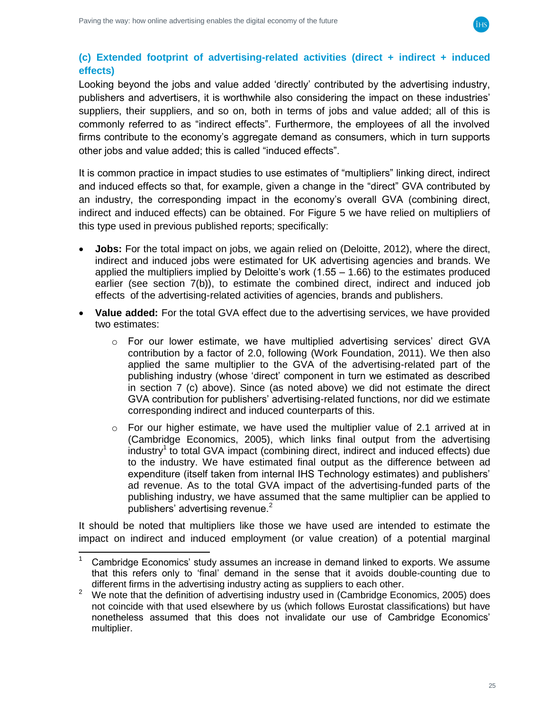

### <span id="page-24-0"></span>**(c) Extended footprint of advertising-related activities (direct + indirect + induced effects)**

Looking beyond the jobs and value added 'directly' contributed by the advertising industry, publishers and advertisers, it is worthwhile also considering the impact on these industries' suppliers, their suppliers, and so on, both in terms of jobs and value added; all of this is commonly referred to as "indirect effects". Furthermore, the employees of all the involved firms contribute to the economy's aggregate demand as consumers, which in turn supports other jobs and value added; this is called "induced effects".

It is common practice in impact studies to use estimates of "multipliers" linking direct, indirect and induced effects so that, for example, given a change in the "direct" GVA contributed by an industry, the corresponding impact in the economy's overall GVA (combining direct, indirect and induced effects) can be obtained. For [Figure](#page-8-0) 5 we have relied on multipliers of this type used in previous published reports; specifically:

- **Jobs:** For the total impact on jobs, we again relied on (Deloitte, 2012), where the direct, indirect and induced jobs were estimated for UK advertising agencies and brands. We applied the multipliers implied by Deloitte's work (1.55 – 1.66) to the estimates produced earlier (see section [7\(](#page-23-0)b)), to estimate the combined direct, indirect and induced job effects of the advertising-related activities of agencies, brands and publishers.
- **Value added:** For the total GVA effect due to the advertising services, we have provided two estimates:
	- $\circ$  For our lower estimate, we have multiplied advertising services' direct GVA contribution by a factor of 2.0, following (Work Foundation, 2011). We then also applied the same multiplier to the GVA of the advertising-related part of the publishing industry (whose 'direct' component in turn we estimated as described in section [7](#page-23-0) (c) above). Since (as noted above) we did not estimate the direct GVA contribution for publishers' advertising-related functions, nor did we estimate corresponding indirect and induced counterparts of this.
	- $\circ$  For our higher estimate, we have used the multiplier value of 2.1 arrived at in (Cambridge Economics, 2005), which links final output from the advertising industry<sup>1</sup> to total GVA impact (combining direct, indirect and induced effects) due to the industry. We have estimated final output as the difference between ad expenditure (itself taken from internal IHS Technology estimates) and publishers' ad revenue. As to the total GVA impact of the advertising-funded parts of the publishing industry, we have assumed that the same multiplier can be applied to publishers' advertising revenue.<sup>2</sup>

It should be noted that multipliers like those we have used are intended to estimate the impact on indirect and induced employment (or value creation) of a potential marginal

 $\overline{\phantom{a}}$ Cambridge Economics' study assumes an increase in demand linked to exports. We assume that this refers only to 'final' demand in the sense that it avoids double-counting due to different firms in the advertising industry acting as suppliers to each other.

<sup>2</sup> We note that the definition of advertising industry used in (Cambridge Economics, 2005) does not coincide with that used elsewhere by us (which follows Eurostat classifications) but have nonetheless assumed that this does not invalidate our use of Cambridge Economics' multiplier.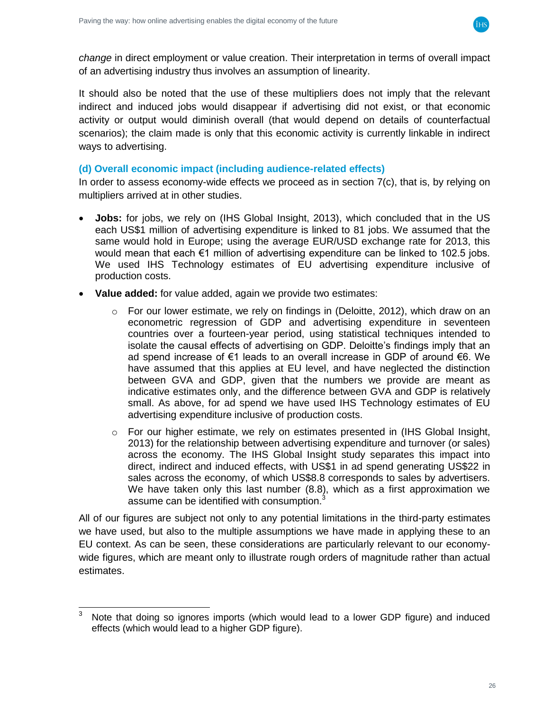

*change* in direct employment or value creation. Their interpretation in terms of overall impact of an advertising industry thus involves an assumption of linearity.

It should also be noted that the use of these multipliers does not imply that the relevant indirect and induced jobs would disappear if advertising did not exist, or that economic activity or output would diminish overall (that would depend on details of counterfactual scenarios); the claim made is only that this economic activity is currently linkable in indirect ways to advertising.

#### <span id="page-25-0"></span>**(d) Overall economic impact (including audience-related effects)**

In order to assess economy-wide effects we proceed as in section  $7(c)$  $7(c)$ , that is, by relying on multipliers arrived at in other studies.

- **Jobs:** for jobs, we rely on (IHS Global Insight, 2013), which concluded that in the US each US\$1 million of advertising expenditure is linked to 81 jobs. We assumed that the same would hold in Europe; using the average EUR/USD exchange rate for 2013, this would mean that each €1 million of advertising expenditure can be linked to 102.5 jobs. We used IHS Technology estimates of EU advertising expenditure inclusive of production costs.
- **Value added:** for value added, again we provide two estimates:
	- $\circ$  For our lower estimate, we rely on findings in (Deloitte, 2012), which draw on an econometric regression of GDP and advertising expenditure in seventeen countries over a fourteen-year period, using statistical techniques intended to isolate the causal effects of advertising on GDP. Deloitte's findings imply that an ad spend increase of €1 leads to an overall increase in GDP of around €6. We have assumed that this applies at EU level, and have neglected the distinction between GVA and GDP, given that the numbers we provide are meant as indicative estimates only, and the difference between GVA and GDP is relatively small. As above, for ad spend we have used IHS Technology estimates of EU advertising expenditure inclusive of production costs.
	- $\circ$  For our higher estimate, we rely on estimates presented in (IHS Global Insight, 2013) for the relationship between advertising expenditure and turnover (or sales) across the economy. The IHS Global Insight study separates this impact into direct, indirect and induced effects, with US\$1 in ad spend generating US\$22 in sales across the economy, of which US\$8.8 corresponds to sales by advertisers. We have taken only this last number (8.8), which as a first approximation we assume can be identified with consumption.

All of our figures are subject not only to any potential limitations in the third-party estimates we have used, but also to the multiple assumptions we have made in applying these to an EU context. As can be seen, these considerations are particularly relevant to our economywide figures, which are meant only to illustrate rough orders of magnitude rather than actual estimates.

 $\mathsf 3$ Note that doing so ignores imports (which would lead to a lower GDP figure) and induced effects (which would lead to a higher GDP figure).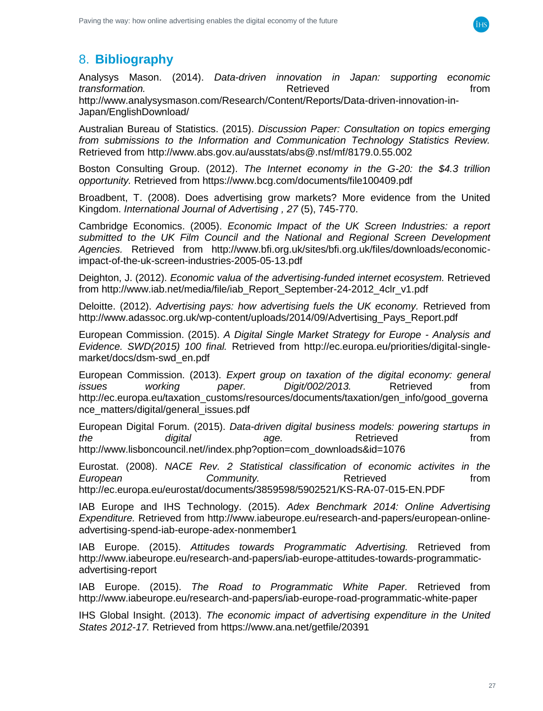

# <span id="page-26-0"></span>8. **Bibliography**

Analysys Mason. (2014). *Data-driven innovation in Japan: supporting economic transformation. n n n n n n n n n n n n n n n n n* http://www.analysysmason.com/Research/Content/Reports/Data-driven-innovation-in-Japan/EnglishDownload/

Australian Bureau of Statistics. (2015). *Discussion Paper: Consultation on topics emerging from submissions to the Information and Communication Technology Statistics Review.* Retrieved from http://www.abs.gov.au/ausstats/abs@.nsf/mf/8179.0.55.002

Boston Consulting Group. (2012). *The Internet economy in the G-20: the \$4.3 trillion opportunity.* Retrieved from https://www.bcg.com/documents/file100409.pdf

Broadbent, T. (2008). Does advertising grow markets? More evidence from the United Kingdom. *International Journal of Advertising , 27* (5), 745-770.

Cambridge Economics. (2005). *Economic Impact of the UK Screen Industries: a report submitted to the UK Film Council and the National and Regional Screen Development Agencies.* Retrieved from http://www.bfi.org.uk/sites/bfi.org.uk/files/downloads/economicimpact-of-the-uk-screen-industries-2005-05-13.pdf

Deighton, J. (2012). *Economic valua of the advertising-funded internet ecosystem.* Retrieved from http://www.iab.net/media/file/iab\_Report\_September-24-2012\_4clr\_v1.pdf

Deloitte. (2012). *Advertising pays: how advertising fuels the UK economy.* Retrieved from http://www.adassoc.org.uk/wp-content/uploads/2014/09/Advertising\_Pays\_Report.pdf

European Commission. (2015). *A Digital Single Market Strategy for Europe - Analysis and Evidence. SWD(2015) 100 final.* Retrieved from http://ec.europa.eu/priorities/digital-singlemarket/docs/dsm-swd\_en.pdf

European Commission. (2013). *Expert group on taxation of the digital economy: general issues working paper. Digit/002/2013.* Retrieved from http://ec.europa.eu/taxation\_customs/resources/documents/taxation/gen\_info/good\_governa nce\_matters/digital/general\_issues.pdf

European Digital Forum. (2015). *Data-driven digital business models: powering startups in the digital age.* Retrieved from http://www.lisboncouncil.net//index.php?option=com\_downloads&id=1076

Eurostat. (2008). *NACE Rev. 2 Statistical classification of economic activites in the*  **European Community.** Community Retrieved From from http://ec.europa.eu/eurostat/documents/3859598/5902521/KS-RA-07-015-EN.PDF

IAB Europe and IHS Technology. (2015). *Adex Benchmark 2014: Online Advertising Expenditure.* Retrieved from http://www.iabeurope.eu/research-and-papers/european-onlineadvertising-spend-iab-europe-adex-nonmember1

IAB Europe. (2015). *Attitudes towards Programmatic Advertising.* Retrieved from http://www.iabeurope.eu/research-and-papers/iab-europe-attitudes-towards-programmaticadvertising-report

IAB Europe. (2015). *The Road to Programmatic White Paper.* Retrieved from http://www.iabeurope.eu/research-and-papers/iab-europe-road-programmatic-white-paper

IHS Global Insight. (2013). *The economic impact of advertising expenditure in the United States 2012-17.* Retrieved from https://www.ana.net/getfile/20391